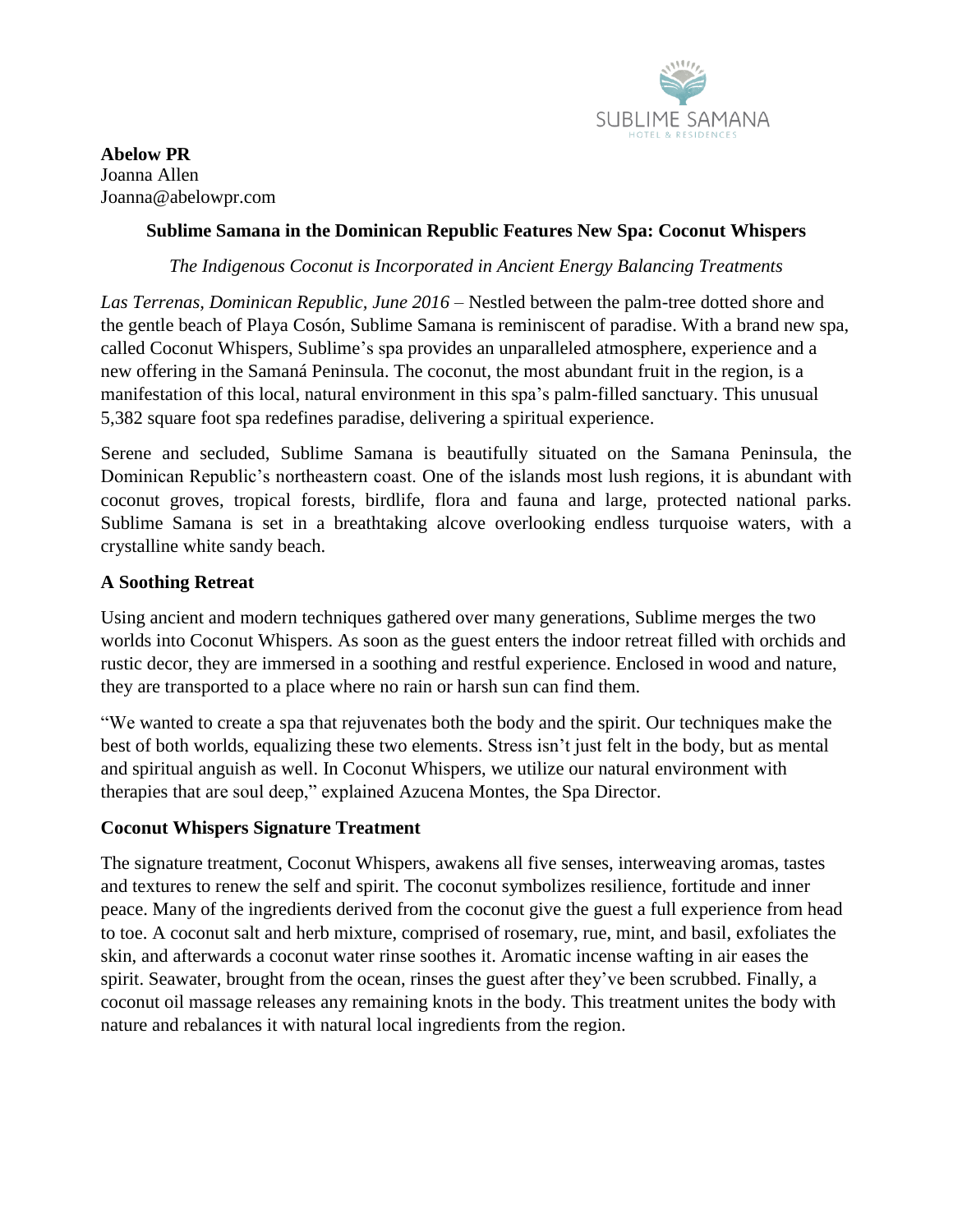

**Abelow PR** Joanna Allen Joanna@abelowpr.com

### **Sublime Samana in the Dominican Republic Features New Spa: Coconut Whispers**

*The Indigenous Coconut is Incorporated in Ancient Energy Balancing Treatments*

*Las Terrenas, Dominican Republic, June 2016* – Nestled between the palm-tree dotted shore and the gentle beach of Playa Cosón, Sublime Samana is reminiscent of paradise. With a brand new spa, called Coconut Whispers, Sublime's spa provides an unparalleled atmosphere, experience and a new offering in the Samaná Peninsula. The coconut, the most abundant fruit in the region, is a manifestation of this local, natural environment in this spa's palm-filled sanctuary. This unusual 5,382 square foot spa redefines paradise, delivering a spiritual experience.

Serene and secluded, Sublime Samana is beautifully situated on the Samana Peninsula, the Dominican Republic's northeastern coast. One of the islands most lush regions, it is abundant with coconut groves, tropical forests, birdlife, flora and fauna and large, protected national parks. Sublime Samana is set in a breathtaking alcove overlooking endless turquoise waters, with a crystalline white sandy beach.

## **A Soothing Retreat**

Using ancient and modern techniques gathered over many generations, Sublime merges the two worlds into Coconut Whispers. As soon as the guest enters the indoor retreat filled with orchids and rustic decor, they are immersed in a soothing and restful experience. Enclosed in wood and nature, they are transported to a place where no rain or harsh sun can find them.

"We wanted to create a spa that rejuvenates both the body and the spirit. Our techniques make the best of both worlds, equalizing these two elements. Stress isn't just felt in the body, but as mental and spiritual anguish as well. In Coconut Whispers, we utilize our natural environment with therapies that are soul deep," explained Azucena Montes, the Spa Director.

#### **Coconut Whispers Signature Treatment**

The signature treatment, Coconut Whispers, awakens all five senses, interweaving aromas, tastes and textures to renew the self and spirit. The coconut symbolizes resilience, fortitude and inner peace. Many of the ingredients derived from the coconut give the guest a full experience from head to toe. A coconut salt and herb mixture, comprised of rosemary, rue, mint, and basil, exfoliates the skin, and afterwards a coconut water rinse soothes it. Aromatic incense wafting in air eases the spirit. Seawater, brought from the ocean, rinses the guest after they've been scrubbed. Finally, a coconut oil massage releases any remaining knots in the body. This treatment unites the body with nature and rebalances it with natural local ingredients from the region.